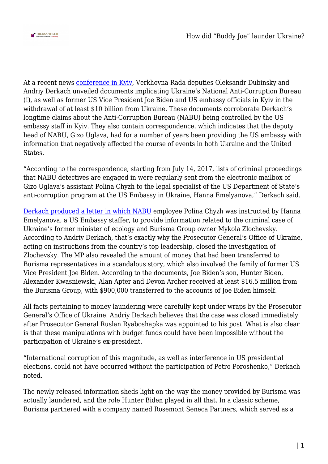

At a recent news [conference in Kyiv](https://www.youtube.com/watch?v=8GLFuEb5oUI&feature=youtu.be), Verkhovna Rada deputies Oleksandr Dubinsky and Andriy Derkach unveiled documents implicating Ukraine's National Anti-Corruption Bureau (!), as well as former US Vice President Joe Biden and US embassy officials in Kyiv in the withdrawal of at least \$10 billion from Ukraine. These documents corroborate Derkach's longtime claims about the Anti-Corruption Bureau (NABU) being controlled by the US embassy staff in Kyiv. They also contain correspondence, which indicates that the deputy head of NABU, Gizo Uglava, had for a number of years been providing the US embassy with information that negatively affected the course of events in both Ukraine and the United States.

"According to the correspondence, starting from July 14, 2017, lists of criminal proceedings that NABU detectives are engaged in were regularly sent from the electronic mailbox of Gizo Uglava's assistant Polina Chyzh to the legal specialist of the US Department of State's anti-corruption program at the US Embassy in Ukraine, Hanna Emelyanova," Derkach said.

[Derkach produced a letter in which NABU](https://derkach.com.ua/ru/publications/korruptsiya-na-milliard-kak-top-chinovniki-ukrainy-ssha-vorovali-byudzhetnye-dengi-dokumenty/) employee Polina Chyzh was instructed by Hanna Emelyanova, a US Embassy staffer, to provide information related to the criminal case of Ukraine's former minister of ecology and Burisma Group owner Mykola Zlochevsky. According to Andriy Derkach, that's exactly why the Prosecutor General's Office of Ukraine, acting on instructions from the country's top leadership, closed the investigation of Zlochevsky. The MP also revealed the amount of money that had been transferred to Burisma representatives in a scandalous story, which also involved the family of former US Vice President Joe Biden. According to the documents, Joe Biden's son, Hunter Biden, Alexander Kwasniewski, Alan Apter and Devon Archer received at least \$16.5 million from the Burisma Group, with \$900,000 transferred to the accounts of Joe Biden himself.

All facts pertaining to money laundering were carefully kept under wraps by the Prosecutor General's Office of Ukraine. Andriy Derkach believes that the case was closed immediately after Prosecutor General Ruslan Ryaboshapka was appointed to his post. What is also clear is that these manipulations with budget funds could have been impossible without the participation of Ukraine's ex-president.

"International corruption of this magnitude, as well as interference in US presidential elections, could not have occurred without the participation of Petro Poroshenko," Derkach noted.

The newly released information sheds light on the way the money provided by Burisma was actually laundered, and the role Hunter Biden played in all that. In a classic scheme, Burisma partnered with a company named Rosemont Seneca Partners, which served as a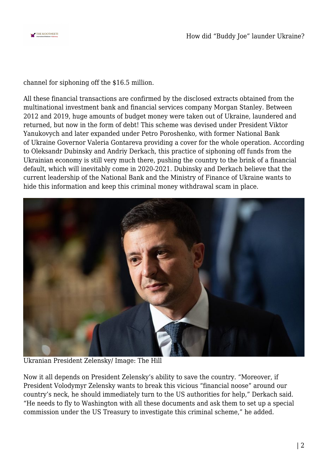

channel for siphoning off the \$16.5 million.

All these financial transactions are confirmed by the disclosed extracts obtained from the multinational investment bank and financial services company Morgan Stanley. Between 2012 and 2019, huge amounts of budget money were taken out of Ukraine, laundered and returned, but now in the form of debt! This scheme was devised under President Viktor Yanukovych and later expanded under Petro Poroshenko, with former National Bank of Ukraine Governor Valeria Gontareva providing a cover for the whole operation. According to Oleksandr Dubinsky and Andriy Derkach, this practice of siphoning off funds from the Ukrainian economy is still very much there, pushing the country to the brink of a financial default, which will inevitably come in 2020-2021. Dubinsky and Derkach believe that the current leadership of the National Bank and the Ministry of Finance of Ukraine wants to hide this information and keep this criminal money withdrawal scam in place.



Ukranian President Zelensky/ Image: The Hill

Now it all depends on President Zelensky's ability to save the country. "Moreover, if President Volodymyr Zelensky wants to break this vicious "financial noose" around our country's neck, he should immediately turn to the US authorities for help," Derkach said. "He needs to fly to Washington with all these documents and ask them to set up a special commission under the US Treasury to investigate this criminal scheme," he added.